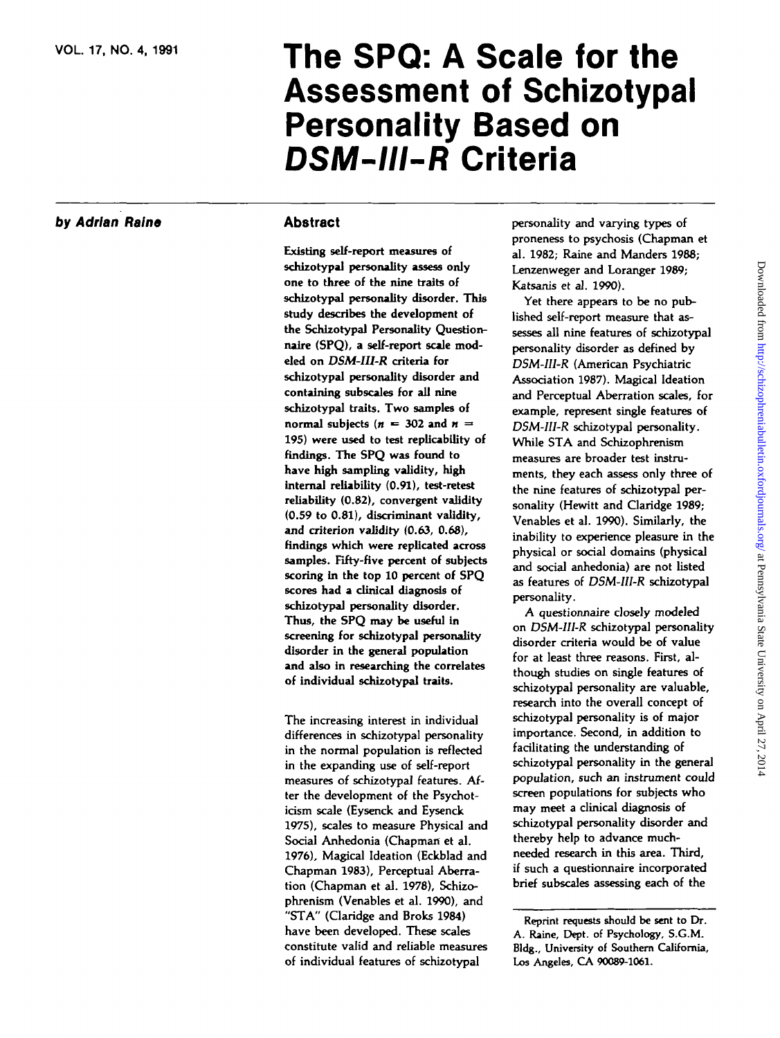# **1** The SPQ: A Scale for the **Assessment of Schizotypal Personality Based on DSM-III-R Criteri a**

## **by Adrian Raine Abstrac**

#### **Abstract**

**Existin g self-repor t measure s of schizotypa l personalit y asses s onl y one** to three of the nine traits of **schizotypa l personalit y disorder . Thi s** study describes the development of **th e Schizotypa l Personalit y Question nair e (SPQ) , a self-repor t scal e mod ele d o n** *DSM-III-R* **criteri a fo r schizotypa l personalit y disorde r an d containin g subscale s fo r al l nin e schizotypa l traits . Tw o sample s o f normal** subjects (*w* = 302 and *w* = **195 ) wer e use d t o tes t replicability o f findings . Th e SP Q wa s foun d t o hav e hig h samplin g validity , hig h interna l reliability (0.91) , test-retes t reliabilit y (0.82) , convergen t validit y (0.5 9 t o 0.81) , discriminan t validity , and** with ion validity (0.63, 0.68) **finding s whic h wer e replicated acros s samples . Fifty-fiv e percen t of subject s scorin g i n th e to p 1 0 percen t o f SP Q score s ha d a clinica l diagnosi s o f schizotypa l personalit y disorder . Thus , th e SP Q ma y b e usefu l i n school of**  $\alpha$  and **i** personality **disorde r i n th e genera l populatio n an d als o i n researching th e correlate s o f individua l schizotypa l traits .**

**Th e increasin g interes t i n individua l difference s i n schizotypa l personalit y i n th e norma l populatio n i s reflecte d i n th e expandin g us e of self-repor t** measures of schizotypal features. Af**ter the development of the Psychoticism scale (Eysenck and Eysenck** 1975), scales to measure Physical and Social Anhedonia (Chapman et al. 1976), Magical Ideation (Eckblad and **Chapma n 1983) , Perceptua l Aberra tio n (Chapma n e t al . 1978) , Schizo phrenism (Venables et al. 1990), and "STA " (Claridg e an d Brok s 1984 ) hav e bee n developed . Thes e scale s constitut e vali d an d reliabl e measure s o f individua l feature s o f schizotypa l**

**personalit y an d varyin g type s of pronenes s t o psychosi s (Chapma n e t al . 1982 ; Rain e an d Mander s 1988 ;** Lenzenweger and Loranger 1989; **Katsani s e t al . 1990) .**

Yet there appears to be no published self-report measure that assesses all nine features of schizotypal **personalit y disorde r a s define d b y** *DSM-IU-R* **(America n Psychiatri c Associatio n 1987) . Magica l Ideatio n an d Perceptua l Aberratio n scales , fo r** example represent single features of *DSM-III-R* **schizotypa l personality . Whil e ST A an d Schizophrenis m measure s are broade r tes t instru ments** thay each assess only three of **th e nin e feature s o f schizotypa l per sonalit y (Hewit t an d Claridg e 1989 ;** *M*<sub>**s</sub> <b>11** *a e<b><i>l***<sub>1</sub> <b>1000**</sub> **C***<b><i>l***<sub>1</sub>***d***<sub>1</sub><b>***l***<sub>1</sub><b>***d***<sub>1</sub>***<i>d***<sub>1</sub><b>**</sub> **inabilit y t o experienc e pleasur e i n th e** *physical* **contract contract to the social contract of the social contract of the social contract of the social contract of the social contract of the social contract of the social contract of the social contract of the s** physical of social domains (physical and social anneuting are not instead. **personality**<br> **.**.

**A questionnair e closel y modele d o n** *DSM-III-R* **schizotypa l personalit y disorde r criteri a woul d b e of valu e fo r a t leas t thre e reasons . First , al thoug h studie s o n singl e feature s of schizotypa l personalit y ar e valuable , researc h int o th e overal l concep t o f schizotypa l personalit y i s of majo r importance . Second , i n additio n t o facilitatin g th e understandin g of schizotypa l personalit y i n th e genera l population , suc h a n instrumen t coul d scree n population s fo r subject s wh o ma y mee t a clinica l diagnosi s o f schizotypa l personalit y disorde r an d thereb y hel p t o advanc e much neede d researc h i n thi s area . Third , if suc h a questionnair e incorporate d brie f subscale s assessin g eac h o f th e**

**Reprint requests should b e sent t o Dr . A . Raine, Dept. of Psychology , S.G.M . Bldg. , University of Southern California , Los Angeles , CA 90089-1061 .**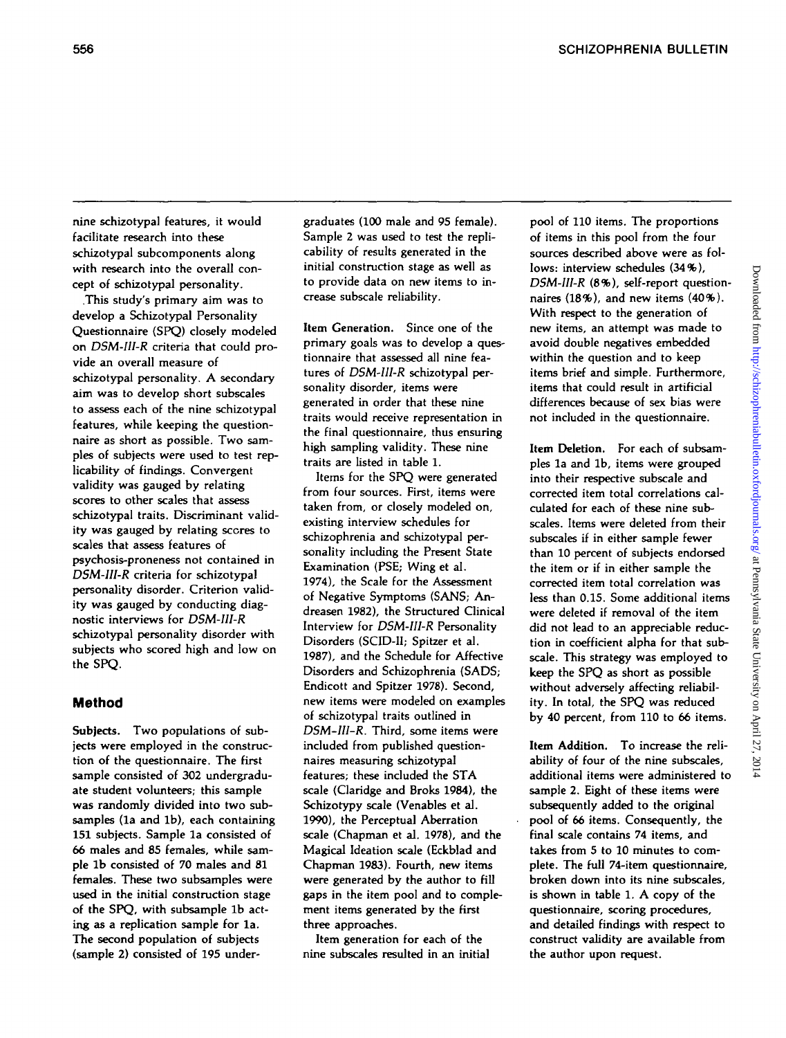nine schizotypal features, it would facilitate research into these schizotypal subcomponents along with research into the overall concept of schizotypal personality.

.This study's primary aim was to develop a Schizotypal Personality Questionnaire (SPQ) closely modeled on *DSM-III-R* criteria that could provide an overall measure of schizotypal personality. A secondary aim was to develop short subscales to assess each of the nine schizotypal features, while keeping the questionnaire as short as possible. Two samples of subjects were used to test replicability of findings. Convergent validity was gauged by relating scores to other scales that assess schizotypal traits. Discriminant validity was gauged by relating scores to scales that assess features of psychosis-proneness not contained in *DSM-III-R* criteria for schizotypal personality disorder. Criterion validity was gauged by conducting diagnostic interviews for *DSM-III-R* schizotypal personality disorder with subjects who scored high and low on the SPQ.

## **Method**

Subjects. Two populations of subjects were employed in the construction of the questionnaire. The first sample consisted of 302 undergraduate student volunteers; this sample was randomly divided into two subsamples (1a and 1b), each containing 151 subjects. Sample la consisted of 66 males and 85 females, while sample lb consisted of 70 males and 81 females. These two subsamples were used in the initial construction stage of the SPQ, with subsample lb acting as a replication sample for la. The second population of subjects (sample 2) consisted of 195 undergraduates (100 male and 95 female). Sample 2 was used to test the replicability of results generated in the initial construction stage as well as to provide data on new items to increase subscale reliability.

Item Generation. Since one of the primary goals was to develop a questionnaire that assessed all nine features of *DSM-III-R* schizotypal personality disorder, items were generated in order that these nine traits would receive representation in the final questionnaire, thus ensuring high sampling validity. These nine traits are listed in table 1.

Items for the SPQ were generated from four sources. First, items were taken from, or closely modeled on, existing interview schedules for schizophrenia and schizotypal personality including the Present State Examination (PSE; Wing et al. 1974), the Scale for the Assessment of Negative Symptoms (SANS; Andreasen 1982), the Structured Clinical Interview for *DSM-III-R* Personality Disorders (SCID-II; Spitzer et al. 1987), and the Schedule for Affective Disorders and Schizophrenia (SADS; Endicott and Spitzer 1978). Second, new items were modeled on examples of schizotypal traits outlined in *DSM-III-R.* Third, some items were included from published questionnaires measuring schizotypal features; these included the STA scale (Claridge and Broks 1984), the Schizotypy scale (Venables et al. 1990), the Perceptual Aberration scale (Chapman et al. 1978), and the Magical Ideation scale (Eckblad and Chapman 1983). Fourth, new items were generated by the author to fill gaps in the item pool and to complement items generated by the first three approaches.

Item generation for each of the nine subscales resulted in an initial pool of 110 items. The proportions of items in this pool from the four sources described above were as follows: interview schedules (34%), *DSM-III-R* (8%), self-report questionnaires  $(18\%)$ , and new items  $(40\%)$ . With respect to the generation of new items, an attempt was made to avoid double negatives embedded within the question and to keep items brief and simple. Furthermore, items that could result in artificial differences because of sex bias were not included in the questionnaire.

Item Deletion. For each of subsamples la and lb, items were grouped into their respective subscale and corrected item total correlations calculated for each of these nine subscales. Items were deleted from their subscales if in either sample fewer than 10 percent of subjects endorsed the item or if in either sample the corrected item total correlation was less than 0.15. Some additional items were deleted if removal of the item did not lead to an appreciable reduction in coefficient alpha for that subscale. This strategy was employed to keep the SPQ as short as possible without adversely affecting reliability. In total, the SPQ was reduced by 40 percent, from 110 to 66 items.

Item Addition. To increase the reliability of four of the nine subscales, additional items were administered to sample 2. Eight of these items were subsequently added to the original pool of 66 items. Consequently, the final scale contains 74 items, and takes from 5 to 10 minutes to complete. The full 74-item questionnaire, broken down into its nine subscales, is shown in table 1. A copy of the questionnaire, scoring procedures, and detailed findings with respect to construct validity are available from the author upon request.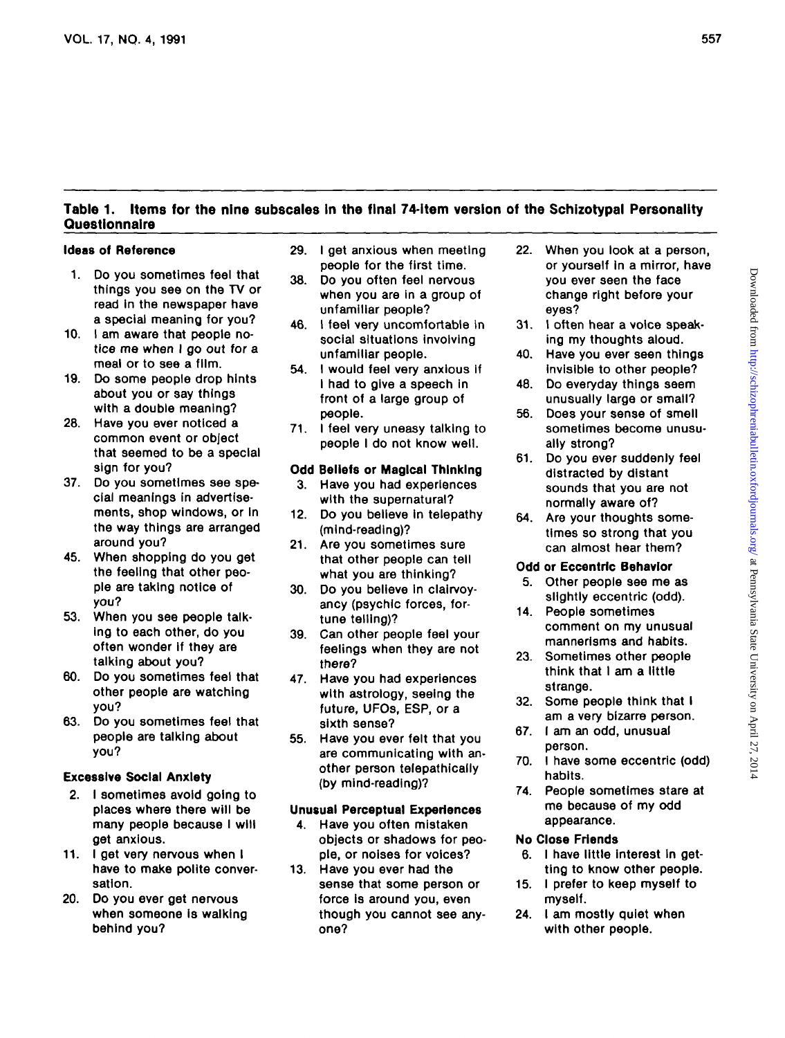# **Table 1. Items for the nine subscales In the final 74-item version of the Schizotypal Personality Questionnaire**

## **Ideas of Reference**

- 1. Do you sometimes feel that things you see on the TV or read in the newspaper have a special meaning for you?
- 10. I am aware that people notice me when I go out for a meal or to see a film.
- 19. Do some people drop hints about you or say things with a double meaning?
- 28. Have you ever noticed a common event or object that seemed to be a special sign for you?
- 37. Do you sometimes see special meanings in advertisements, shop windows, or In the way things are arranged around you?
- 45. When shopping do you get the feeling that other people are taking notice of you?
- 53. When you see people talking to each other, do you often wonder if they are talking about you?
- 60. Do you sometimes feel that other people are watching you?
- 63. Do you sometimes feel that people are talking about you?

## **Excessive Social Anxiety**

- 2. I sometimes avoid going to places where there will be many people because I will get anxious.
- 11. I get very nervous when I have to make polite conversation.
- 20. Do you ever get nervous when someone is walking behind you?
- 29. I get anxious when meeting people for the first time.
- 38. Do you often feel nervous when you are in a group of unfamiliar people?
- 46. I feel very uncomfortable in social situations involving unfamiliar people.
- 54. I would feel very anxious if I had to give a speech in front of a large group of people.
- 71. I feel very uneasy talking to people I do not know well.

## **Odd Beliefs or Magical Thinking**

- 3. Have you had experiences with the supernatural?
- 12. Do you believe in telepathy (mlnd-readlng)?
- 21. Are you sometimes sure that other people can tell what you are thinking?
- 30. Do you believe In clairvoyancy (psychic forces, fortune telling)?
- 39. Can other people feel your feelings when they are not there?
- 47. Have you had experiences with astrology, seeing the future, UFOs, ESP, or a sixth sense?
- 55. Have you ever felt that you are communicating with another person telepathically (by mind-reading)?

## **Unusual Perceptual Experiences**

- **4.** Have you often mistaken objects or shadows for people, or noises for voices?
- 13. Have you ever had the sense that some person or force is around you, even though you cannot see anyone?
- 22. When you look at a person, or yourself in a mirror, have you ever seen the face change right before your eyes?
- 31. I often hear a voice speaking my thoughts aloud.
- 40. Have you ever seen things invisible to other people?
- 48. Do everyday things seem unusually large or small?
- 56. Does your sense of smell sometimes become unusually strong?
- 61. Do you ever suddenly feel distracted by distant sounds that you are not normally aware of?
- 64. Are your thoughts sometimes so strong that you can almost hear them?

# **Odd or Eccentric Behavior**

- 5. Other people see me as slightly eccentric (odd).
- 14. People sometimes comment on my unusual mannerisms and habits.
- 23. Sometimes other people think that I am a little strange.
- 32. Some people think that I am a very bizarre person.
- 67. I am an odd, unusual person.
- 70. I have some eccentric (odd) habits.
- 74. People sometimes stare at me because of my odd appearance.

## **No Close Friends**

- 6. I have little interest in getting to know other people.
- 15. I prefer to keep myself to myself.
- 24. I am mostly quiet when with other people.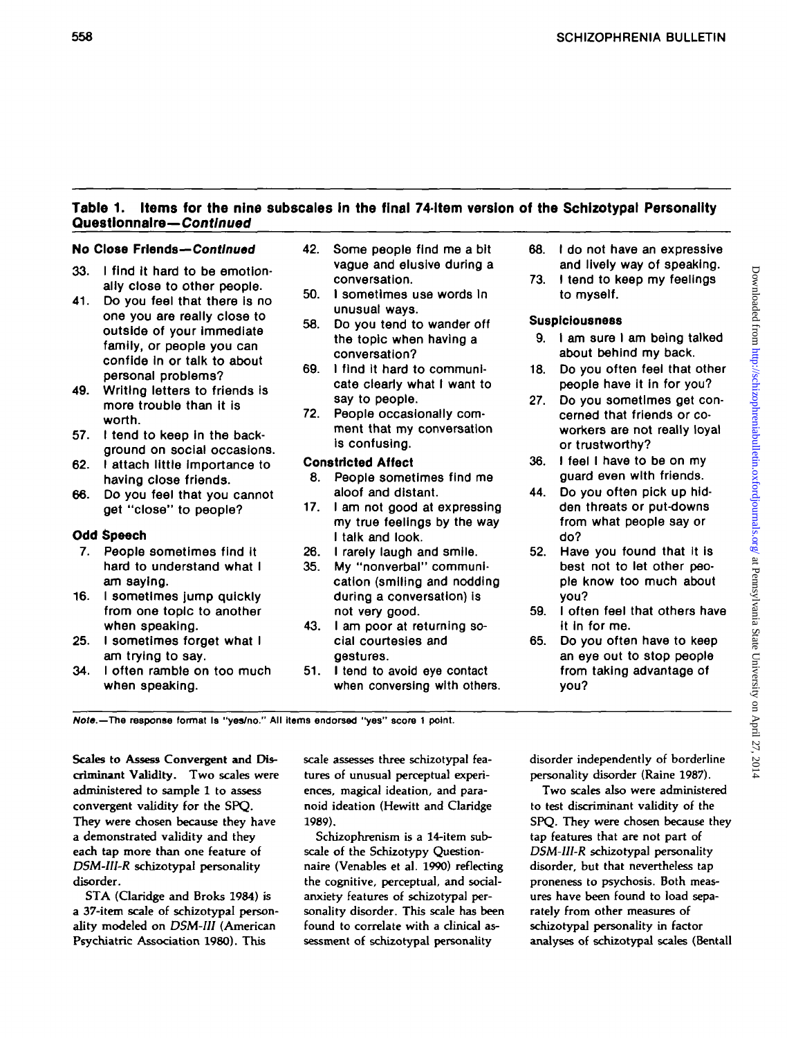# **Table 1. Items for the nine subscales in the final 74-ltem version of the Schizotypal Personality Questionnaire—Continued**

#### **No Close Friends—Continued**

- 33. I find it hard to be emotionally close to other people.
- 41. Do you feel that there is no one you are really close to outside of your immediate family, or people you can confide In or talk to about personal problems?
- 49. Writing letters to friends is more trouble than it is worth.
- 57. I tend to keep in the background on social occasions.
- 62. I attach little Importance to having close friends.
- 66. Do you feel that you cannot get "close" to people?

## **Odd Speech**

- 7. People sometimes find it hard to understand what I am saying.
- 16. I sometimes jump quickly from one topic to another when speaking.
- 25. I sometimes forget what I am trying to say.
- 34. I often ramble on too much when speaking.
- 42. Some people find me a bit vague and elusive during a conversation.
- 50. I sometimes use words In unusual ways.
- 58. Do you tend to wander off the topic when having a conversation?
- 69. I find it hard to communicate clearly what I want to say to people.
- 72. People occasionally comment that my conversation is confusing.

## **Constricted Affect**

- 8. People sometimes find me aloof and distant.
- 17. I am not good at expressing my true feelings by the way I talk and look.
- 26. I rarely laugh and smile.
- 35. My "nonverbal" communication (smiling and nodding during a conversation) is not very good.
- 43. I am poor at returning social courtesies and gestures.
- 51. I tend to avoid eye contact when conversing with others.
- 68. I do not have an expressive and lively way of speaking.
- 73. I tend to keep my feelings to myself.

#### **Susplciousne8s**

- 9. I am sure I am being talked about behind my back.
- 18. Do you often feel that other people have it in for you?
- 27. Do you sometimes get concerned that friends or coworkers are not really loyal or trustworthy?
- 36. I feel I have to be on my guard even with friends.
- 44. Do you often pick up hidden threats or put-downs from what people say or do?
- 52. Have you found that It is best not to let other people know too much about you?
- 59. I often feel that others have it In for me.
- 65. Do you often have to keep an eye out to stop people from taking advantage of you?

**Note.—**Trie response format Is "yes/no." All Items endorsed "yes" score 1 point.

Scales to Assess Convergent and Discriminant Validity. Two scales were administered to sample 1 to assess convergent validity for the SPQ. They were chosen because they have a demonstrated validity and they each tap more than one feature of *DSM-1H-R* schizotypal personality disorder.

STA (Claridge and Broks 1984) is a 37-item scale of schizotypal personality modeled on *DSM-III* (American Psychiatric Association 1980). This

scale assesses three schizotypal features of unusual perceptual experiences, magical ideation, and paranoid ideation (Hewitt and Claridge 1989).

Schizophrenism is a 14-item subscale of the Schizotypy Questionnaire (Venables et al. 1990) reflecting the cognitive, perceptual, and socialanxiety features of schizotypal personality disorder. This scale has been found to correlate with a clinical assessment of schizotypal personality

disorder independently of borderline personality disorder (Raine 1987).

Two scales also were administered to test discriminant validity of the SPQ. They were chosen because they tap features that are not part of *DSM-III-R* schizotypal personality disorder, but that nevertheless tap proneness to psychosis. Both measures have been found to load separately from other measures of schizotypal personality in factor analyses of schizotypal scales (Bentall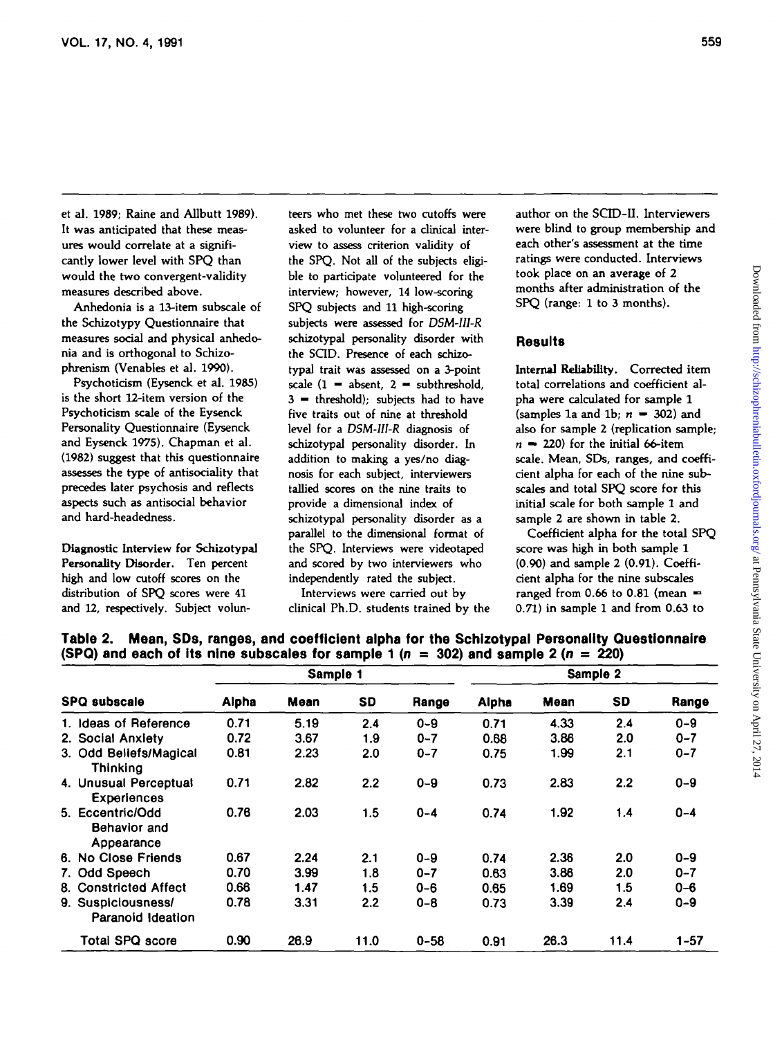et al. 1989; Raine and Allbutt 1989). It was anticipated that these measures would correlate at a significantly lower level with SPQ than would the two convergent-validity measures described above.

Anhedonia is a 13-item subscale of the Schizotypy Questionnaire that measures social and physical anhedonia and is orthogonal to Schizophrenism (Venables et al. 1990).

Psychoticism (Eysenck et al. 1985) is the short 12-item version of the Psychoticism scale of the Eysenck Personality Questionnaire (Eysenck and Eysenck 1975). Chapman et al. (1982) suggest that this questionnaire assesses the type of antisociality that precedes later psychosis and reflects aspects such as antisocial behavior and hard-headedness.

Diagnostic Interview for Schizotypal Personality Disorder. Ten percent high and low cutoff scores on the distribution of SPQ scores were 41 and 12, respectively. Subject volun-

teers who met these two cutoffs were asked to volunteer for a clinical interview to assess criterion validity of the SPQ. Not all of the subjects eligible to participate volunteered for the interview; however, 14 low-scoring SPQ subjects and 11 high-scoring subjects were assessed for *DSM-H1-R* schizotypal personality disorder with the SCID. Presence of each schizotypal trait was assessed on a 3-point scale  $(1 - absent, 2 - subthreshold,$  $3$  = threshold); subjects had to have five traits out of nine at threshold level for a *DSM-III-R* diagnosis of schizotypal personality disorder. In addition to making a yes/no diagnosis for each subject, interviewers tallied scores on the nine traits to provide a dimensional index of schizotypal personality disorder as a parallel to the dimensional format of the SPQ. Interviews were videotaped and scored by two interviewers who independently rated the subject.

Interviews were carried out by clinical Ph.D. students trained by the

author on the SCID-II. Interviewers were blind to group membership and each other's assessment at the time ratings were conducted. Interviews took place on an average of 2 months after administration of the SPQ (range: 1 to 3 months).

#### **Results**

Internal Reliability. Corrected item total correlations and coefficient alpha were calculated for sample 1 (samples 1a and 1b;  $n = 302$ ) and also for sample 2 (replication sample;  $n = 220$  for the initial 66-item scale. Mean, SDs, ranges, and coefficient alpha for each of the nine subscales and total SPQ score for this initial scale for both sample 1 and sample 2 are shown in table 2.

Coefficient alpha for the total SPQ score was high in both sample 1 (0.90) and sample 2 (0.91). Coefficient alpha for the nine subscales ranged from 0.66 to 0.81 (mean  $=$ 0.71) in sample 1 and from 0.63 to

|  |  |  |  |  |                                                                                            | Table 2. Mean, SDs, ranges, and coefficient alpha for the Schizotypal Personality Questionnaire |
|--|--|--|--|--|--------------------------------------------------------------------------------------------|-------------------------------------------------------------------------------------------------|
|  |  |  |  |  | (SPQ) and each of its nine subscales for sample 1 ( $n = 302$ ) and sample 2 ( $n = 220$ ) |                                                                                                 |

|                                                       |       | Sample 1 |           |          |              |      | Sample 2 |          |
|-------------------------------------------------------|-------|----------|-----------|----------|--------------|------|----------|----------|
| <b>SPQ subscale</b>                                   | Alpha | Mean     | <b>SD</b> | Range    | <b>Alpha</b> | Mean | SD       | Range    |
| 1. Ideas of Reference                                 | 0.71  | 5.19     | 2.4       | $0 - 9$  | 0.71         | 4.33 | 2.4      | $0 - 9$  |
| 2. Social Anxiety                                     | 0.72  | 3.67     | 1.9       | $0 - 7$  | 0.68         | 3.86 | 2.0      | $0 - 7$  |
| 3. Odd Beliefs/Magical<br><b>Thinking</b>             | 0.81  | 2.23     | 2.0       | $0 - 7$  | 0.75         | 1.99 | 2.1      | $0 - 7$  |
| 4. Unusual Perceptual<br><b>Experiences</b>           | 0.71  | 2.82     | 2.2       | $0 - 9$  | 0.73         | 2.83 | 2.2      | $0 - 9$  |
| 5. Eccentric/Odd<br><b>Behavior and</b><br>Appearance | 0.76  | 2.03     | 1.5       | $0 - 4$  | 0.74         | 1.92 | 1.4      | $0 - 4$  |
| 6. No Close Friends                                   | 0.67  | 2.24     | 2.1       | $0 - 9$  | 0.74         | 2.36 | 2.0      | $0 - 9$  |
| 7. Odd Speech                                         | 0.70  | 3.99     | 1.8       | $0 - 7$  | 0.63         | 3.86 | 2.0      | $0 - 7$  |
| 8. Constricted Affect                                 | 0.66  | 1.47     | 1.5       | $0 - 6$  | 0.65         | 1.69 | 1.5      | $0 - 6$  |
| 9. Suspiciousness/<br>Paranoid Ideation               | 0.78  | 3.31     | 2.2       | $0 - 8$  | 0.73         | 3.39 | 2.4      | $0 - 9$  |
| Total SPQ score                                       | 0.90  | 26.9     | 11.0      | $0 - 58$ | 0.91         | 26.3 | 11.4     | $1 - 57$ |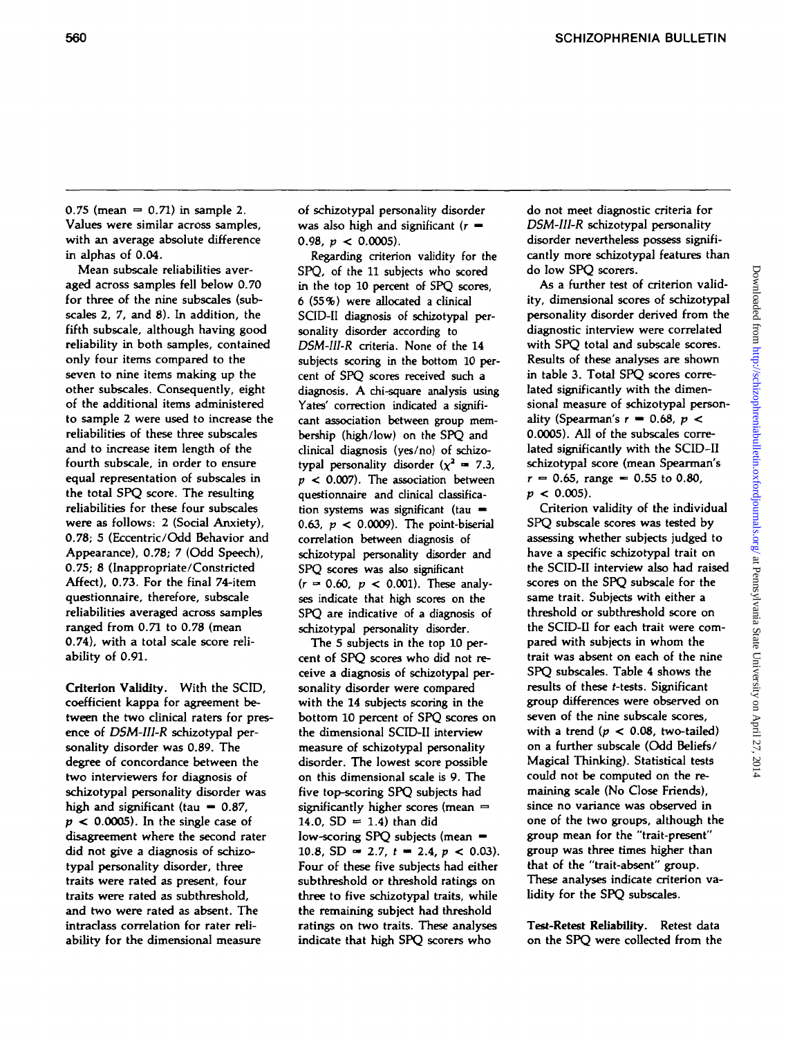$0.75$  (mean = 0.71) in sample 2. Values were similar across samples, with an average absolute difference in alphas of 0.04.

Mean subscale reliabilities averaged across samples fell below 0.70 for three of the nine subscales (subscales 2, 7, and 8). In addition, the fifth subscale, although having good reliability in both samples, contained only four items compared to the seven to nine items making up the other subscales. Consequently, eight of the additional items administered to sample 2 were used to increase the reliabilities of these three subscales and to increase item length of the fourth subscale, in order to ensure equal representation of subscales in the total SPQ score. The resulting reliabilities for these four subscales were as follows: 2 (Social Anxiety), 0.78; 5 (Eccentric/Odd Behavior and Appearance), 0.78; 7 (Odd Speech), 0.75; 8 (Inappropriate/Constricted Affect), 0.73. For the final 74-item questionnaire, therefore, subscale reliabilities averaged across samples ranged from 0.71 to 0.78 (mean 0.74), with a total scale score reliability of 0.91.

**Criterion Validity.** With the SCID, coefficient kappa for agreement between the two clinical raters for presence of *DSM-III-R* schizotypal personality disorder was 0.89. The degree of concordance between the two interviewers for diagnosis of schizotypal personality disorder was high and significant (tau  $= 0.87$ , *p <* 0.0005). In the single case of disagreement where the second rater did not give a diagnosis of schizotypal personality disorder, three traits were rated as present, four traits were rated as subthreshold, and two were rated as absent. The intraclass correlation for rater reliability for the dimensional measure

of schizotypal personality disorder was also high and significant  $(r =$ 0.98, *p <* 0.0005).

Regarding criterion validity for the SPQ, of the 11 subjects who scored in the top 10 percent of SPQ scores, 6 (55%) were allocated a clinical SCID-II diagnosis of schizotypal personality disorder according to *DSM-III-R* criteria. None of the 14 subjects scoring in the bottom 10 percent of SPQ scores received such a diagnosis. A chi-square analysis using Yates' correction indicated a significant association between group membership (high/low) on the SPQ and clinical diagnosis (yes/no) of schizotypal personality disorder  $(x^2 = 7.3)$ *p <* 0.007). The association between questionnaire and clinical classification systems was significant (tau — 0.63, *p <* 0.0009). The point-biserial correlation between diagnosis of schizotypal personality disorder and SPQ scores was also significant (r = 0.60, *p <* 0.001). These analyses indicate that high scores on the SPQ are indicative of a diagnosis of schizotypal personality disorder.

The 5 subjects in the top 10 percent of SPQ scores who did not receive a diagnosis of schizotypal personality disorder were compared with the 14 subjects scoring in the bottom 10 percent of SPQ scores on the dimensional SCID-II interview measure of schizorypal personality disorder. The lowest score possible on this dimensional scale is 9. The five top-scoring SPQ subjects had significantly higher scores (mean  $=$ 14.0,  $SD = 1.4$ ) than did low-scoring SPQ subjects (mean — 10.8, SD  $= 2.7$ ,  $t = 2.4$ ,  $p < 0.03$ ). Four of these five subjects had either subthreshold or threshold ratings on three to five schizotypal traits, while the remaining subject had threshold ratings on two traits. These analyses indicate that high SPQ scorers who

do not meet diagnostic criteria for *DSM-III-R* schizotypal personality disorder nevertheless possess significantly more schizotypal features than do low SPQ scorers.

As a further test of criterion validity, dimensional scores of schizotypal personality disorder derived from the diagnostic interview were correlated with SPQ total and subscale scores. Results of these analyses are shown in table 3. Total SPQ scores correlated significantly with the dimensional measure of schizotypal personality (Spearman's r — 0.68, *p <* 0.0005). All of the subscales correlated significantly with the SCID-II schizotypal score (mean Spearman's  $r = 0.65$ , range = 0.55 to 0.80,  $p < 0.005$ ).

Criterion validity of the individual SPQ subscale scores was tested by assessing whether subjects judged to have a specific schizorypal trait on the SCID-II interview also had raised scores on the SPQ subscale for the same trait. Subjects with either a threshold or subthreshold score on the SCID-II for each trait were compared with subjects in whom the trait was absent on each of the nine SPQ subscales. Table 4 shows the results of these f-tests. Significant group differences were observed on seven of the nine subscale scores, with a trend ( $p < 0.08$ , two-tailed) on a further subscale (Odd Beliefs/ Magical Thinking). Statistical tests could not be computed on the remaining scale (No Close Friends), since no variance was observed in one of the two groups, although the group mean for the "trait-present" group was three times higher than that of the "trait-absent" group. These analyses indicate criterion validity for the SPQ subscales.

**Test-Retest Reliability.** Retest data on the SPQ were collected from the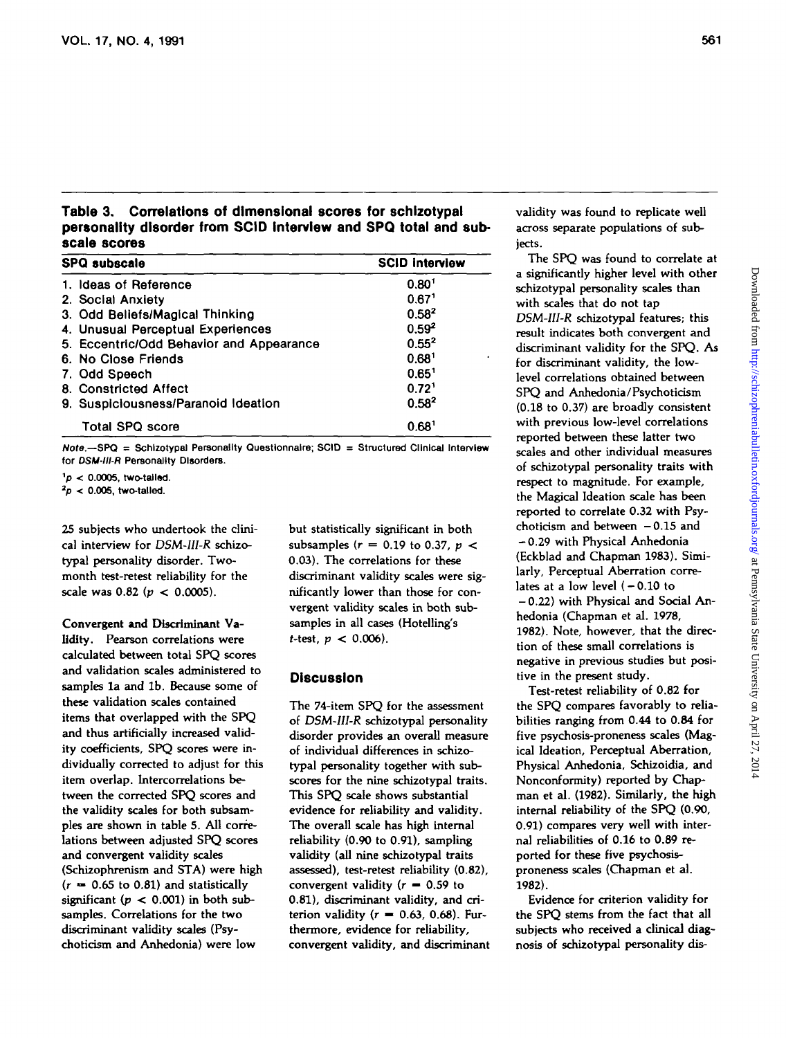# **Table 3. Correlations of dimensional scores for schlzotypal personality disorder from SCID Interview and SPQ total and subscale scores**

| <b>SPQ subscale</b>                      | <b>SCID interview</b> |
|------------------------------------------|-----------------------|
| 1. Ideas of Reference                    | $0.80^{1}$            |
| 2. Social Anxiety                        | 0.67 <sup>1</sup>     |
| 3. Odd Beliefs/Magical Thinking          | 0.58 <sup>2</sup>     |
| 4. Unusual Perceptual Experiences        | $0.59^{2}$            |
| 5. Eccentric/Odd Behavior and Appearance | $0.55^{2}$            |
| 6. No Close Friends                      | 0.68 <sup>1</sup>     |
| 7. Odd Speech                            | 0.65 <sup>1</sup>     |
| 8. Constricted Affect                    | 0.72 <sup>1</sup>     |
| 9. Suspiciousness/Paranoid Ideation      | $0.58^{2}$            |
| <b>Total SPQ score</b>                   | 0.68 <sup>1</sup>     |

**Note.—SPQ = Schlzotypal Personality Questionnaire; SCID = Structured Clinical Interview for DSU-III-R Personality Disorders.**

**1 p < 0.0005, two-tailed.**

**2 p < 0.005, two-tailed.**

25 subjects who undertook the clinical interview for *DSM-1II-R* schizotypal personality disorder. Twomonth test-retest reliability for the scale was 0.82 ( $p < 0.0005$ ).

Convergent and Discriminant Validity. Pearson correlations were calculated between total SPQ scores and validation scales administered to samples la and lb. Because some of these validation scales contained items that overlapped with the SPQ and thus artificially increased validity coefficients, SPQ scores were individually corrected to adjust for this item overlap. Intercorrelations between the corrected SPQ scores and the validity scales for both subsamples are shown in table 5. All correlations between adjusted SPQ scores and convergent validity scales (Schizophrenism and STA) were high  $(r = 0.65$  to 0.81) and statistically significant (p *<* 0.001) in both subsamples. Correlations for the two discriminant validity scales (Psychoticism and Anhedonia) were low

but statistically significant in both subsamples ( $r = 0.19$  to 0.37,  $p <$ 0.03). The correlations for these discriminant validity scales were significantly lower than those for convergent validity scales in both subsamples in all cases (Hotelling's *t*-test,  $p < 0.006$ ).

## **Discussion**

The 74-item SPQ for the assessment of *DSM-HI-R* schizotypal personality disorder provides an overall measure of individual differences in schizotypal personality together with subscores for the nine schizotypal traits. This SPQ scale shows substantial evidence for reliability and validity. The overall scale has high internal reliability (0.90 to 0.91), sampling validity (all nine schizotypal traits assessed), test-retest reliability (0.82), convergent validity ( $r = 0.59$  to 0.81), discriminant validity, and criterion validity ( $r = 0.63$ , 0.68). Furthermore, evidence for reliability, convergent validity, and discriminant validity was found to replicate well across separate populations of subjects.

The SPQ was found to correlate at a significantly higher level with other schizotypal personality scales than with scales that do not tap *DSM-HI-R* schizotypal features; this result indicates both convergent and discriminant validity for the SPQ. As for discriminant validity, the lowlevel correlations obtained between SPQ and Anhedonia/Psychoticism (0.18 to 0.37) are broadly consistent with previous low-level correlations reported between these latter two scales and other individual measures of schizotypal personality traits with respect to magnitude. For example, the Magical Ideation scale has been reported to correlate 0.32 with Psychoticism and between —0.15 and - 0.29 with Physical Anhedonia (Eckblad and Chapman 1983). Similarly, Perceptual Aberration correlates at a low level  $(-0.10)$  to -0.22) with Physical and Social Anhedonia (Chapman et al. 1978, 1982). Note, however, that the direction of these small correlations is negative in previous studies but positive in the present study.

Test-retest reliability of 0.82 for the SPQ compares favorably to reliabilities ranging from 0.44 to 0.84 for five psychosis-proneness scales (Magical Ideation, Perceptual Aberration, Physical Anhedonia, Schizoidia, and Nonconformity) reported by Chapman et al. (1982). Similarly, the high internal reliability of the SPQ (0.90, 0.91) compares very well with internal reliabilities of 0.16 to 0.89 reported for these five psychosisproneness scales (Chapman et al. 1982).

Evidence for criterion validity for the SPQ stems from the fact that all subjects who received a clinical diagnosis of schizotypal personality dis-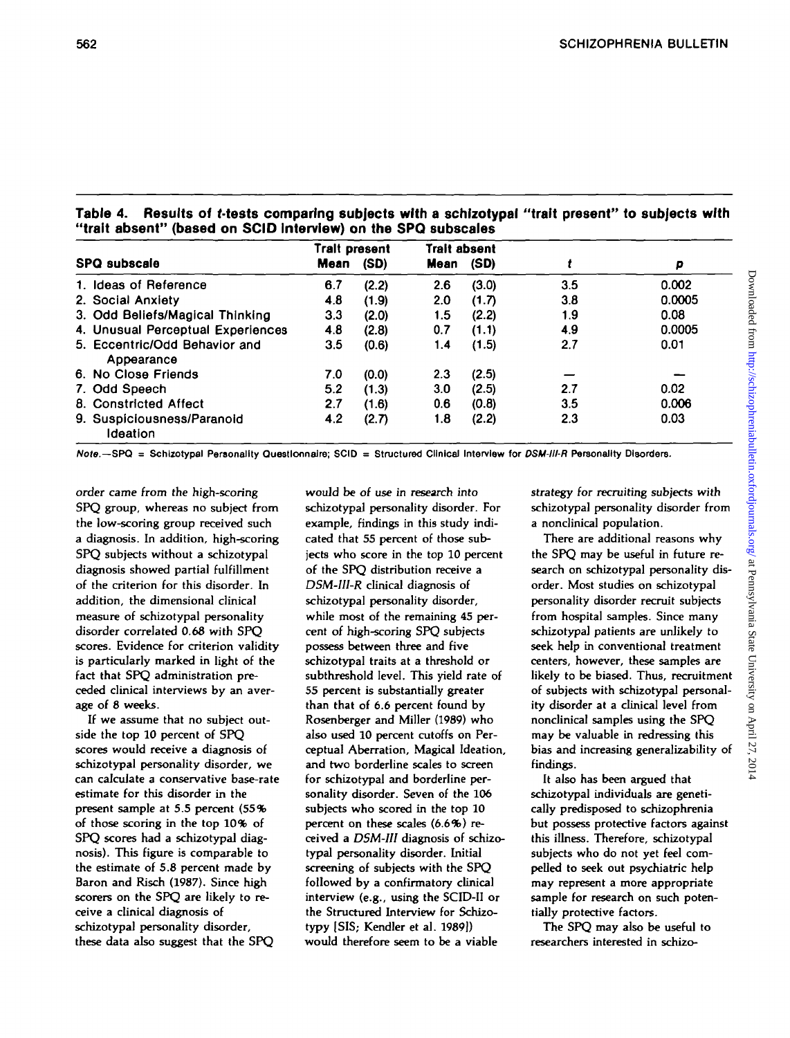|  |  |                                                               |  | Table 4.   Results of t-tests comparing subjects with a schizotypal "trait present" to subjects with |  |  |  |
|--|--|---------------------------------------------------------------|--|------------------------------------------------------------------------------------------------------|--|--|--|
|  |  | "trait absent" (based on SCID interview) on the SPQ subscales |  |                                                                                                      |  |  |  |

|                     |                                             | <b>Trait present</b> |       | Trait absent |       |     |        |
|---------------------|---------------------------------------------|----------------------|-------|--------------|-------|-----|--------|
| <b>SPQ subscale</b> |                                             | Mean                 | (SD)  | Mean         | (SD)  |     | p      |
|                     | 1. Ideas of Reference                       | 6.7                  | (2.2) | 2.6          | (3.0) | 3.5 | 0.002  |
|                     | 2. Social Anxiety                           | 4.8                  | (1.9) | 2.0          | (1.7) | 3.8 | 0.0005 |
|                     | 3. Odd Beliefs/Magical Thinking             | 3.3                  | (2.0) | 1.5          | (2.2) | 1.9 | 0.08   |
|                     | 4. Unusual Perceptual Experiences           | 4.8                  | (2.8) | 0.7          | (1.1) | 4.9 | 0.0005 |
|                     | 5. Eccentric/Odd Behavior and<br>Appearance | $3.5\,$              | (0.6) | 1.4          | (1.5) | 2.7 | 0.01   |
|                     | 6. No Close Friends                         | 7.0                  | (0.0) | 2.3          | (2.5) |     |        |
|                     | 7. Odd Speech                               | 5.2                  | (1.3) | 3.0          | (2.5) | 2.7 | 0.02   |
|                     | 8. Constricted Affect                       | 2.7                  | (1.6) | 0.6          | (0.8) | 3.5 | 0.006  |
|                     | 9. Suspiciousness/Paranoid<br>Ideation      | 4.2                  | (2.7) | 1.8          | (2.2) | 2.3 | 0.03   |

**Note.—SPQ = Schizotypal Personality Questionnaire; SCID = Structured Clinical Interview for DSM-llhR Personality Disorders-**

order came from the high-scoring SPQ group, whereas no subject from the low-scoring group received such a diagnosis. In addition, high-scoring SPQ subjects without a schizotypal diagnosis showed partial fulfillment of the criterion for this disorder. In addition, the dimensional clinical measure of schizotypal personality disorder correlated 0.68 with SPQ scores. Evidence for criterion validity is particularly marked in light of the fact that SPQ administration preceded clinical interviews by an average of 8 weeks.

If we assume that no subject outside the top 10 percent of SPQ scores would receive a diagnosis of schizotypal personality disorder, we can calculate a conservative base-rate estimate for this disorder in the present sample at 5.5 percent (55% of those scoring in the top 10% of SPQ scores had a schizotypal diagnosis). This figure is comparable to the estimate of 5.8 percent made by Baron and Risch (1987). Since high scorers on the SPQ are likely to receive a clinical diagnosis of schizotypal personality disorder, these data also suggest that the SPQ

would be of use in research into schizotypal personality disorder. For example, findings in this study indicated that 55 percent of those subjects who score in the top 10 percent of the SPQ distribution receive a *DSM-III-R* clinical diagnosis of schizotypal personality disorder, while most of the remaining 45 percent of high-scoring SPQ subjects possess between three and five schizotypal traits at a threshold or subthreshold level. This yield rate of 55 percent is substantially greater than that of 6.6 percent found by Rosenberger and Miller (1989) who also used 10 percent cutoffs on Perceptual Aberration, Magical Ideation, and two borderline scales to screen for schizotypal and borderline personality disorder. Seven of the 106 subjects who scored in the top 10 percent on these scales (6.6%) received a *DSM-III* diagnosis of schizotypal personality disorder. Initial screening of subjects with the SPQ followed by a confirmatory clinical interview (e.g., using the SCID-II or the Structured Interview for Schizotypy [SIS; Kendler et al. 1989]) would therefore seem to be a viable

strategy for recruiting subjects with schizotypal personality disorder from a nondinical population.

There are additional reasons why the SPQ may be useful in future research on schizotypal personality disorder. Most studies on schizotypal personality disorder recruit subjects from hospital samples. Since many schizotypal patients are unlikely to seek help in conventional treatment centers, however, these samples are likely to be biased. Thus, recruitment of subjects with schizotypal personality disorder at a clinical level from nondinical samples using the SPQ may be valuable in redressing this bias and increasing generalizability of findings.

It also has been argued that schizotypal individuals are genetically predisposed to schizophrenia but possess protective factors against this illness. Therefore, schizorypal subjects who do not yet feel compelled to seek out psychiatric help may represent a more appropriate sample for research on such potentially protective factors.

The SPQ may also be useful to researchers interested in schizo-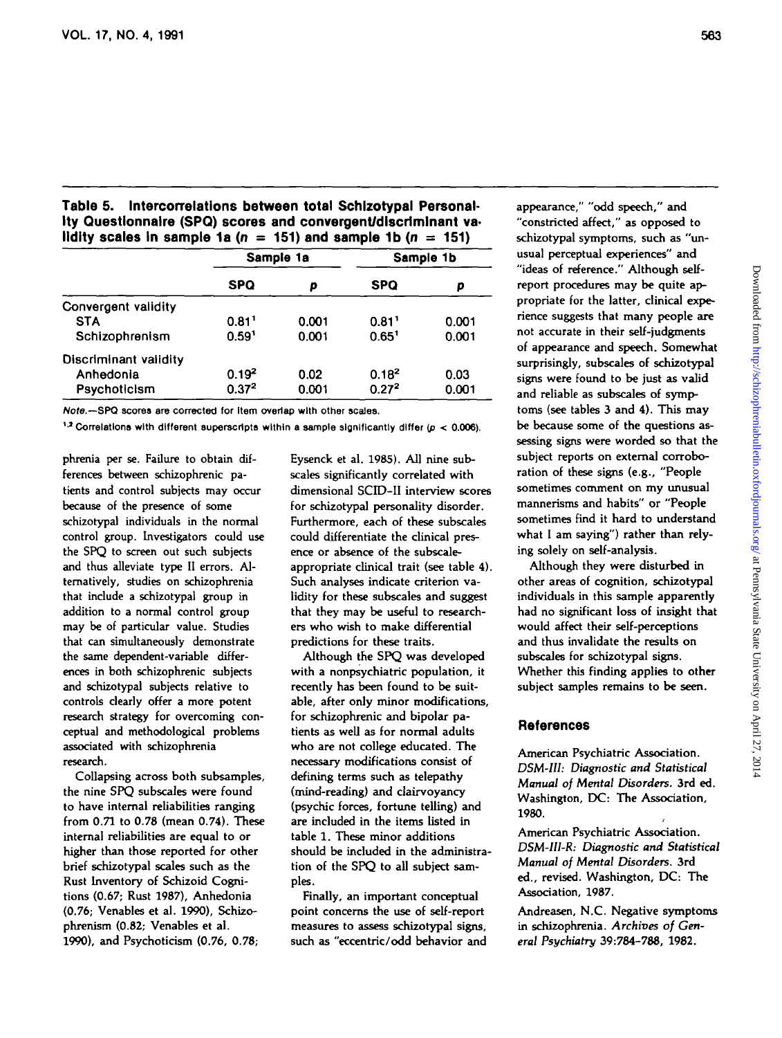| Table 5. | Intercorrelations between total Schizotypal Personal-                |
|----------|----------------------------------------------------------------------|
|          | ity Questionnaire (SPQ) scores and convergent/discriminant va-       |
|          | lidity scales in sample 1a ( $n = 151$ ) and sample 1b ( $n = 151$ ) |

|                              |                   | Sample 1a | Sample 1b         |       |  |
|------------------------------|-------------------|-----------|-------------------|-------|--|
|                              | <b>SPQ</b>        | p         | <b>SPQ</b>        | D     |  |
| Convergent validity          |                   |           |                   |       |  |
| <b>STA</b>                   | 0.81 <sup>1</sup> | 0.001     | 0.81 <sup>1</sup> | 0.001 |  |
| Schizophrenism               | 0.59 <sup>1</sup> | 0.001     | 0.65 <sup>1</sup> | 0.001 |  |
| <b>Discriminant validity</b> |                   |           |                   |       |  |
| Anhedonia                    | $0.19^{2}$        | 0.02      | 0.18 <sup>2</sup> | 0.03  |  |
| Psychoticism                 | 0.37 <sup>2</sup> | 0.001     | 0.27 <sup>2</sup> | 0.001 |  |

**Note.—SPQ scores are corrected for Item overlap with other scales.**

<sup>1,2</sup> Correlations with different superscripts within a sample significantly differ  $(p < 0.006)$ .

phrenia per se. Failure to obtain differences between schizophrenic patients and control subjects may occur because of the presence of some schizotypal individuals in the normal control group. Investigators could use the SPQ to screen out such subjects and thus alleviate type II errors. Alternatively, studies on schizophrenia that include a schizotypal group in addition to a normal control group may be of particular value. Studies that can simultaneously demonstrate the same dependent-variable differences in both schizophrenic subjects and schizotypal subjects relative to controls clearly offer a more potent research strategy for overcoming conceptual and methodological problems associated with schizophrenia research.

Collapsing across both subsamples, the nine SPQ subscales were found to have internal reliabilities ranging from 0.71 to 0.78 (mean 0.74). These internal reliabilities are equal to or higher than those reported for other brief schizotypal scales such as the Rust Inventory of Schizoid Cognitions (0.67; Rust 1987), Anhedonia (0.76; Venables et al. 1990), Schizophrenism (0.82; Venables et al. 1990), and Psychoticism (0.76, 0.78;

Eysenck et al. 1985). AH nine subscales significantly correlated with dimensional SCID-II interview scores for schizotypal personality disorder. Furthermore, each of these subscales could differentiate the clinical presence or absence of the subscaleappropriate clinical trait (see table 4). Such analyses indicate criterion validity for these subscales and suggest that they may be useful to researchers who wish to make differential predictions for these traits.

Although the SPQ was developed with a nonpsychiatric population, it recently has been found to be suitable, after only minor modifications, for schizophrenic and bipolar patients as well as for normal adults who are not college educated. The necessary modifications consist of defining terms such as telepathy (mind-reading) and dairvoyancy (psychic forces, fortune telling) and are included in the items listed in table 1. These minor additions should be included in the administration of the SPQ to all subject samples.

Finally, an important conceptual point concerns the use of self-report measures to assess schizotypal signs, such as "eccentric/odd behavior and appearance," "odd speech," and "constricted affect," as opposed to schizotypal symptoms, such as "unusual perceptual experiences" and "ideas of reference." Although selfreport procedures may be quite appropriate for the latter, clinical experience suggests that many people are not accurate in their self-judgments of appearance and speech. Somewhat surprisingly, subscales of schizotypal signs were found to be just as valid and reliable as subscales of symptoms (see tables 3 and 4). This may be because some of the questions assessing signs were worded so that the subject reports on external corroboration of these signs (e.g., "People sometimes comment on my unusual mannerisms and habits" or "People sometimes find it hard to understand what I am saying") rather than relying solely on self-analysis.

Although they were disturbed in other areas of cognition, schizotypal individuals in this sample apparently had no significant loss of insight that would affect their self-perceptions and thus invalidate the results on subscales for schizotypal signs. Whether this finding applies to other subject samples remains to be seen.

#### **References**

American Psychiatric Association. *DSM-1I1: Diagnostic and Statistical Manual of Mental Disorders.* 3rd ed. Washington, DC: The Association, 1980.

American Psychiatric Association. *DSM-Hl-R: Diagnostic and Statistical Manual of Mental Disorders.* 3rd ed., revised. Washington, DC: The Association, 1987.

Andreasen, N.C. Negative symptoms in schizophrenia. *Archives of General Psychiatry* 39:784-788, 1982.